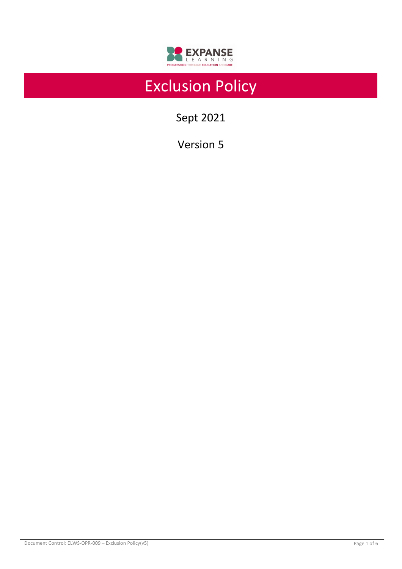

# Exclusion Policy

Sept 2021

Version 5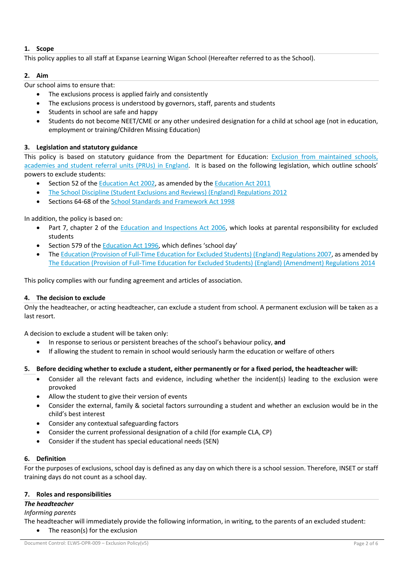# **1. Scope**

This policy applies to all staff at Expanse Learning Wigan School (Hereafter referred to as the School).

# **2. Aim**

Our school aims to ensure that:

- The exclusions process is applied fairly and consistently
- The exclusions process is understood by governors, staff, parents and students
- Students in school are safe and happy
- Students do not become NEET/CME or any other undesired designation for a child at school age (not in education, employment or training/Children Missing Education)

# **3. Legislation and statutory guidance**

This policy is based on statutory guidance from the Department for Education: Exclusion from maintained schools, academies and student referral units (PRUs) in England. It is based on the following legislation, which outline schools' powers to exclude students:

- Section 52 of the Education Act 2002, as amended by the Education Act 2011
- The School Discipline (Student Exclusions and Reviews) (England) Regulations 2012
- Sections 64-68 of the School Standards and Framework Act 1998

In addition, the policy is based on:

- Part 7, chapter 2 of the Education and Inspections Act 2006, which looks at parental responsibility for excluded students
- Section 579 of the Education Act 1996, which defines 'school day'
- The Education (Provision of Full-Time Education for Excluded Students) (England) Regulations 2007, as amended by The Education (Provision of Full-Time Education for Excluded Students) (England) (Amendment) Regulations 2014

This policy complies with our funding agreement and articles of association.

## **4. The decision to exclude**

Only the headteacher, or acting headteacher, can exclude a student from school. A permanent exclusion will be taken as a last resort.

A decision to exclude a student will be taken only:

- In response to serious or persistent breaches of the school's behaviour policy, **and**
- If allowing the student to remain in school would seriously harm the education or welfare of others

## **5. Before deciding whether to exclude a student, either permanently or for a fixed period, the headteacher will:**

- Consider all the relevant facts and evidence, including whether the incident(s) leading to the exclusion were provoked
- Allow the student to give their version of events
- Consider the external, family & societal factors surrounding a student and whether an exclusion would be in the child's best interest
- Consider any contextual safeguarding factors
- Consider the current professional designation of a child (for example CLA, CP)
- Consider if the student has special educational needs (SEN)

## **6. Definition**

For the purposes of exclusions, school day is defined as any day on which there is a school session. Therefore, INSET or staff training days do not count as a school day.

## **7. Roles and responsibilities**

## *The headteacher*

## *Informing parents*

The headteacher will immediately provide the following information, in writing, to the parents of an excluded student: • The reason(s) for the exclusion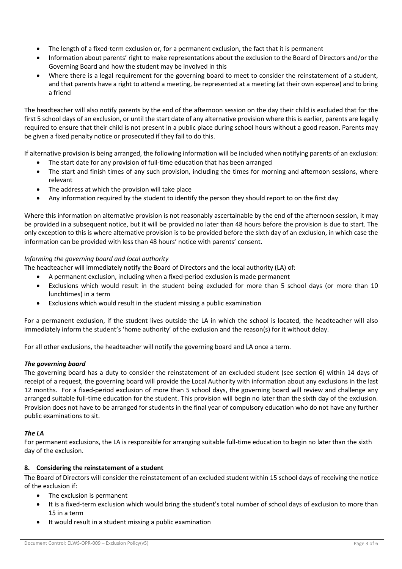- The length of a fixed-term exclusion or, for a permanent exclusion, the fact that it is permanent
- Information about parents' right to make representations about the exclusion to the Board of Directors and/or the Governing Board and how the student may be involved in this
- Where there is a legal requirement for the governing board to meet to consider the reinstatement of a student, and that parents have a right to attend a meeting, be represented at a meeting (at their own expense) and to bring a friend

The headteacher will also notify parents by the end of the afternoon session on the day their child is excluded that for the first 5 school days of an exclusion, or until the start date of any alternative provision where this is earlier, parents are legally required to ensure that their child is not present in a public place during school hours without a good reason. Parents may be given a fixed penalty notice or prosecuted if they fail to do this.

If alternative provision is being arranged, the following information will be included when notifying parents of an exclusion:

- The start date for any provision of full-time education that has been arranged
- The start and finish times of any such provision, including the times for morning and afternoon sessions, where relevant
- The address at which the provision will take place
- Any information required by the student to identify the person they should report to on the first day

Where this information on alternative provision is not reasonably ascertainable by the end of the afternoon session, it may be provided in a subsequent notice, but it will be provided no later than 48 hours before the provision is due to start. The only exception to this is where alternative provision is to be provided before the sixth day of an exclusion, in which case the information can be provided with less than 48 hours' notice with parents' consent.

## *Informing the governing board and local authority*

The headteacher will immediately notify the Board of Directors and the local authority (LA) of:

- A permanent exclusion, including when a fixed-period exclusion is made permanent
- Exclusions which would result in the student being excluded for more than 5 school days (or more than 10 lunchtimes) in a term
- Exclusions which would result in the student missing a public examination

For a permanent exclusion, if the student lives outside the LA in which the school is located, the headteacher will also immediately inform the student's 'home authority' of the exclusion and the reason(s) for it without delay.

For all other exclusions, the headteacher will notify the governing board and LA once a term.

## *The governing board*

The governing board has a duty to consider the reinstatement of an excluded student (see section 6) within 14 days of receipt of a request, the governing board will provide the Local Authority with information about any exclusions in the last 12 months. For a fixed-period exclusion of more than 5 school days, the governing board will review and challenge any arranged suitable full-time education for the student. This provision will begin no later than the sixth day of the exclusion. Provision does not have to be arranged for students in the final year of compulsory education who do not have any further public examinations to sit.

## *The LA*

For permanent exclusions, the LA is responsible for arranging suitable full-time education to begin no later than the sixth day of the exclusion.

## **8. Considering the reinstatement of a student**

The Board of Directors will consider the reinstatement of an excluded student within 15 school days of receiving the notice of the exclusion if:

- The exclusion is permanent
- It is a fixed-term exclusion which would bring the student's total number of school days of exclusion to more than 15 in a term
- It would result in a student missing a public examination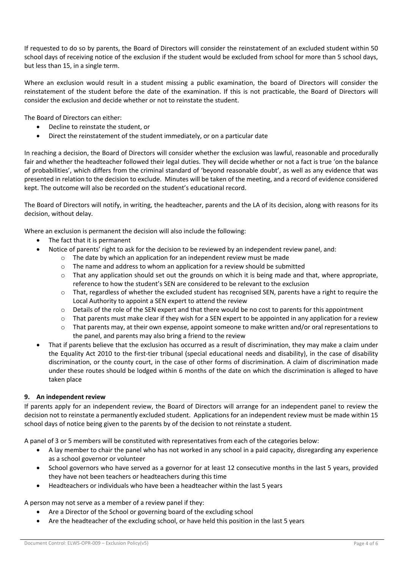If requested to do so by parents, the Board of Directors will consider the reinstatement of an excluded student within 50 school days of receiving notice of the exclusion if the student would be excluded from school for more than 5 school days, but less than 15, in a single term.

Where an exclusion would result in a student missing a public examination, the board of Directors will consider the reinstatement of the student before the date of the examination. If this is not practicable, the Board of Directors will consider the exclusion and decide whether or not to reinstate the student.

The Board of Directors can either:

- Decline to reinstate the student, or
	- Direct the reinstatement of the student immediately, or on a particular date

In reaching a decision, the Board of Directors will consider whether the exclusion was lawful, reasonable and procedurally fair and whether the headteacher followed their legal duties. They will decide whether or not a fact is true 'on the balance of probabilities', which differs from the criminal standard of 'beyond reasonable doubt', as well as any evidence that was presented in relation to the decision to exclude. Minutes will be taken of the meeting, and a record of evidence considered kept. The outcome will also be recorded on the student's educational record.

The Board of Directors will notify, in writing, the headteacher, parents and the LA of its decision, along with reasons for its decision, without delay.

Where an exclusion is permanent the decision will also include the following:

- The fact that it is permanent
	- Notice of parents' right to ask for the decision to be reviewed by an independent review panel, and:
		- $\circ$  The date by which an application for an independent review must be made
		- o The name and address to whom an application for a review should be submitted
		- $\circ$  That any application should set out the grounds on which it is being made and that, where appropriate, reference to how the student's SEN are considered to be relevant to the exclusion
		- $\circ$  That, regardless of whether the excluded student has recognised SEN, parents have a right to require the Local Authority to appoint a SEN expert to attend the review
		- o Details of the role of the SEN expert and that there would be no cost to parents for this appointment
		- $\circ$  That parents must make clear if they wish for a SEN expert to be appointed in any application for a review
		- $\circ$  That parents may, at their own expense, appoint someone to make written and/or oral representations to the panel, and parents may also bring a friend to the review
- That if parents believe that the exclusion has occurred as a result of discrimination, they may make a claim under the Equality Act 2010 to the first-tier tribunal (special educational needs and disability), in the case of disability discrimination, or the county court, in the case of other forms of discrimination. A claim of discrimination made under these routes should be lodged within 6 months of the date on which the discrimination is alleged to have taken place

## **9. An independent review**

If parents apply for an independent review, the Board of Directors will arrange for an independent panel to review the decision not to reinstate a permanently excluded student. Applications for an independent review must be made within 15 school days of notice being given to the parents by of the decision to not reinstate a student.

A panel of 3 or 5 members will be constituted with representatives from each of the categories below:

- A lay member to chair the panel who has not worked in any school in a paid capacity, disregarding any experience as a school governor or volunteer
- School governors who have served as a governor for at least 12 consecutive months in the last 5 years, provided they have not been teachers or headteachers during this time
- Headteachers or individuals who have been a headteacher within the last 5 years

## A person may not serve as a member of a review panel if they:

- Are a Director of the School or governing board of the excluding school
- Are the headteacher of the excluding school, or have held this position in the last 5 years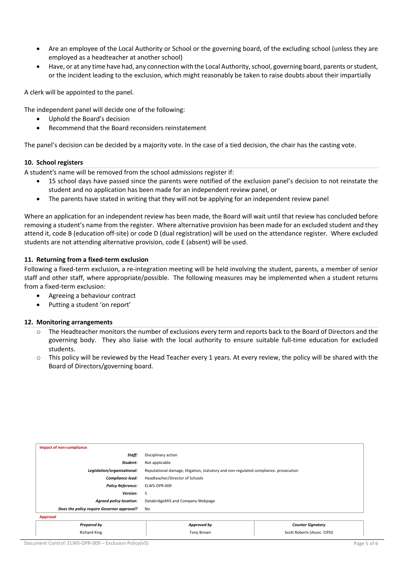- Are an employee of the Local Authority or School or the governing board, of the excluding school (unless they are employed as a headteacher at another school)
- Have, or at any time have had, any connection with the Local Authority, school, governing board, parents or student, or the incident leading to the exclusion, which might reasonably be taken to raise doubts about their impartially

A clerk will be appointed to the panel.

The independent panel will decide one of the following:

- Uphold the Board's decision
- Recommend that the Board reconsiders reinstatement

The panel's decision can be decided by a majority vote. In the case of a tied decision, the chair has the casting vote.

#### **10. School registers**

A student's name will be removed from the school admissions register if:

- 15 school days have passed since the parents were notified of the exclusion panel's decision to not reinstate the student and no application has been made for an independent review panel, or
- The parents have stated in writing that they will not be applying for an independent review panel

Where an application for an independent review has been made, the Board will wait until that review has concluded before removing a student's name from the register. Where alternative provision has been made for an excluded student and they attend it, code B (education off-site) or code D (dual registration) will be used on the attendance register. Where excluded students are not attending alternative provision, code E (absent) will be used.

#### **11. Returning from a fixed-term exclusion**

Following a fixed-term exclusion, a re-integration meeting will be held involving the student, parents, a member of senior staff and other staff, where appropriate/possible. The following measures may be implemented when a student returns from a fixed-term exclusion:

- Agreeing a behaviour contract
- Putting a student 'on report'

#### **12. Monitoring arrangements**

- The Headteacher monitors the number of exclusions every term and reports back to the Board of Directors and the governing body. They also liaise with the local authority to ensure suitable full-time education for excluded students.
- $\circ$  This policy will be reviewed by the Head Teacher every 1 years. At every review, the policy will be shared with the Board of Directors/governing board.

| Impact of non-compliance                   |                                                                                      |                             |  |  |
|--------------------------------------------|--------------------------------------------------------------------------------------|-----------------------------|--|--|
|                                            |                                                                                      |                             |  |  |
| Staff:                                     | Disciplinary action                                                                  |                             |  |  |
| Student:                                   | Not applicable                                                                       |                             |  |  |
| Legislation/organisational:                | Reputational damage, litigation, statutory and non-regulated compliance. prosecution |                             |  |  |
| Compliance lead:                           | Headteacher/Director of Schools                                                      |                             |  |  |
| <b>Policy Reference:</b>                   | ELWS-OPR-009                                                                         |                             |  |  |
| <b>Version:</b>                            | 5                                                                                    |                             |  |  |
| <b>Agreed policy location:</b>             | DatabridgeMIS and Company Webpage                                                    |                             |  |  |
| Does the policy require Governor approval? | No                                                                                   |                             |  |  |
| Approval                                   |                                                                                      |                             |  |  |
| <b>Prepared by</b>                         | Approved by                                                                          | <b>Counter Signatory</b>    |  |  |
| <b>Richard King</b>                        | <b>Tony Brown</b>                                                                    | Scott Roberts (Assoc. CIPD) |  |  |